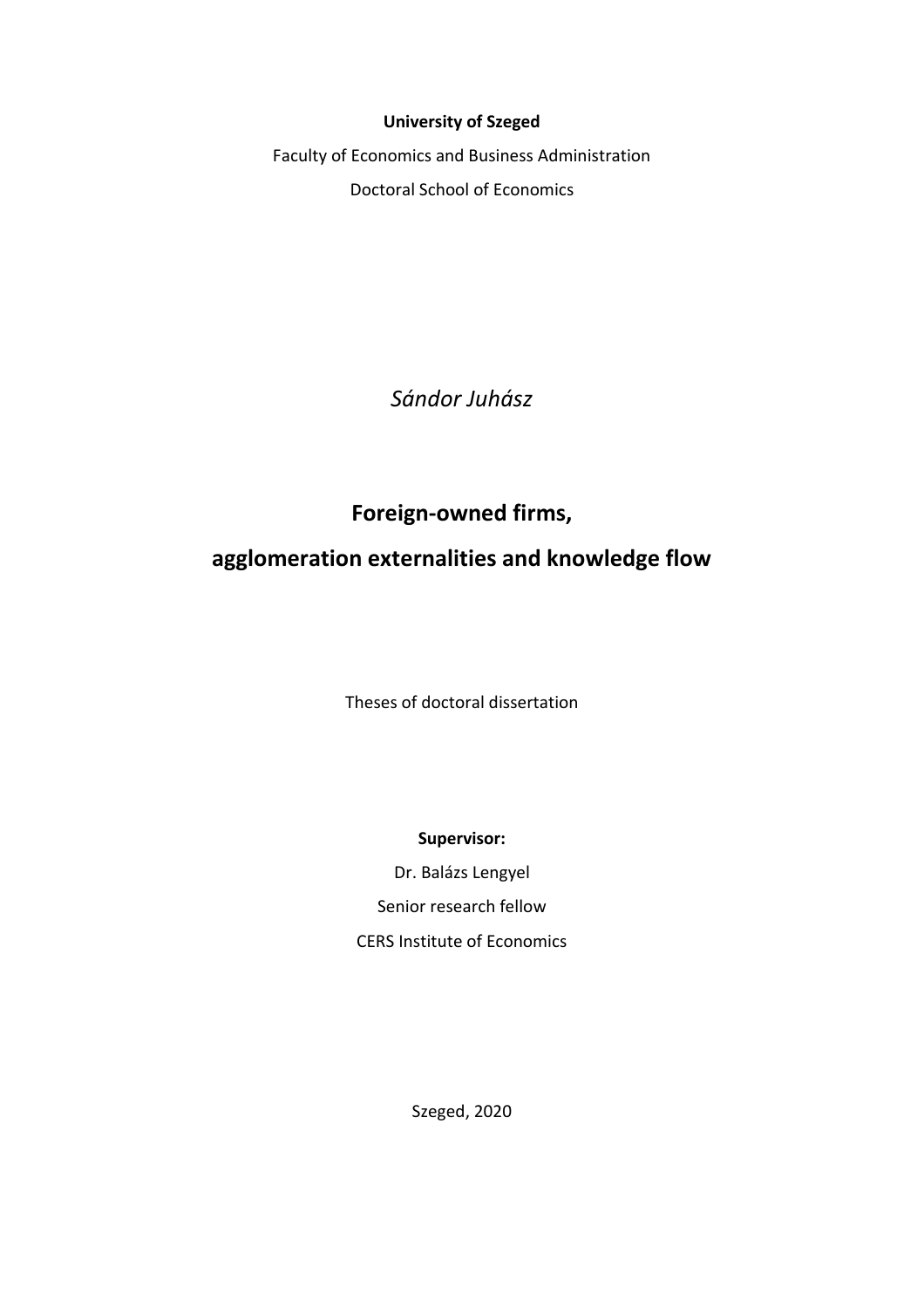## **University of Szeged**

Faculty of Economics and Business Administration Doctoral School of Economics

*Sándor Juhász*

**Foreign-owned firms,**

# **agglomeration externalities and knowledge flow**

Theses of doctoral dissertation

**Supervisor:**

Dr. Balázs Lengyel Senior research fellow CERS Institute of Economics

Szeged, 2020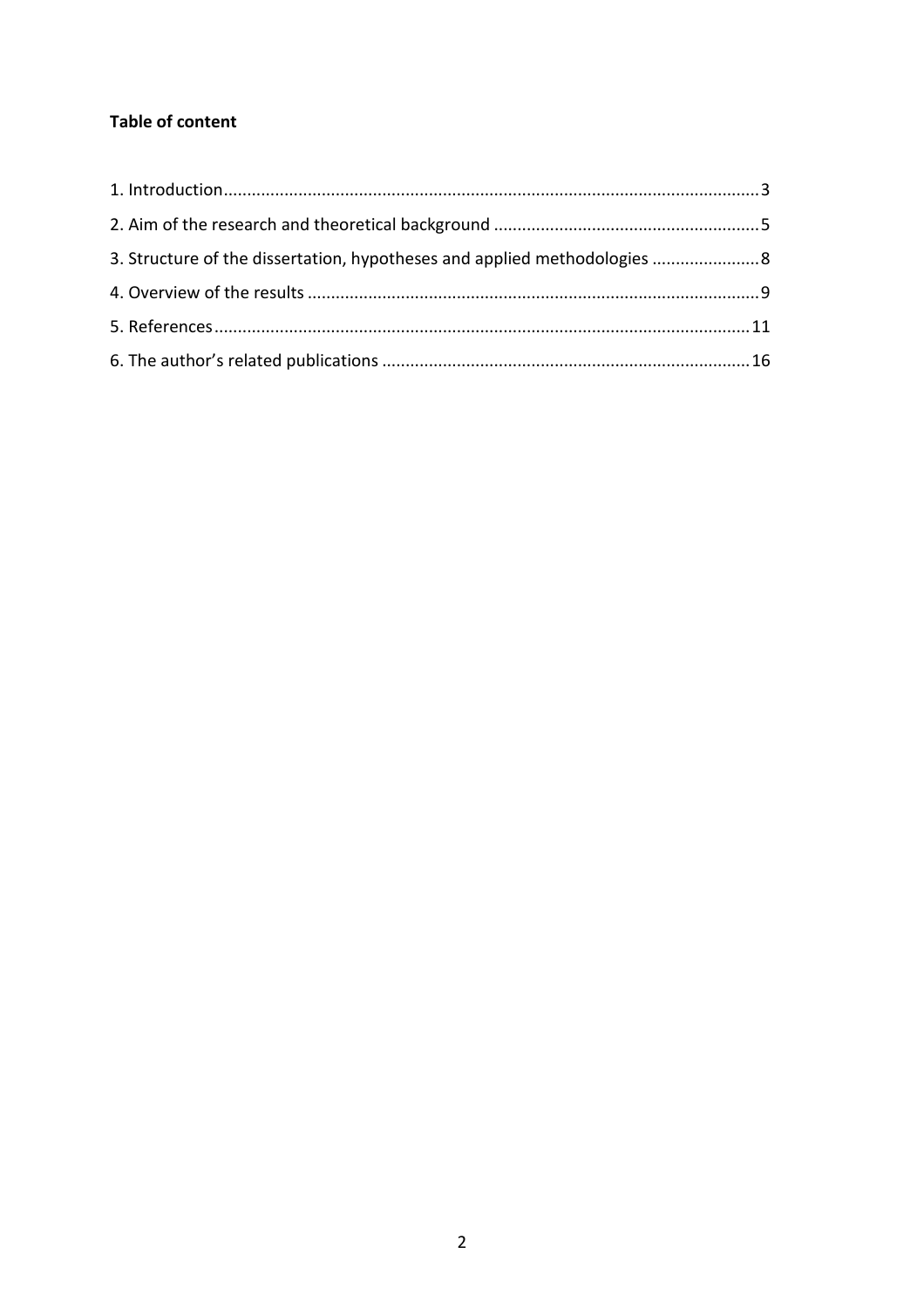# **Table of content**

| 3. Structure of the dissertation, hypotheses and applied methodologies  8 |  |
|---------------------------------------------------------------------------|--|
|                                                                           |  |
|                                                                           |  |
|                                                                           |  |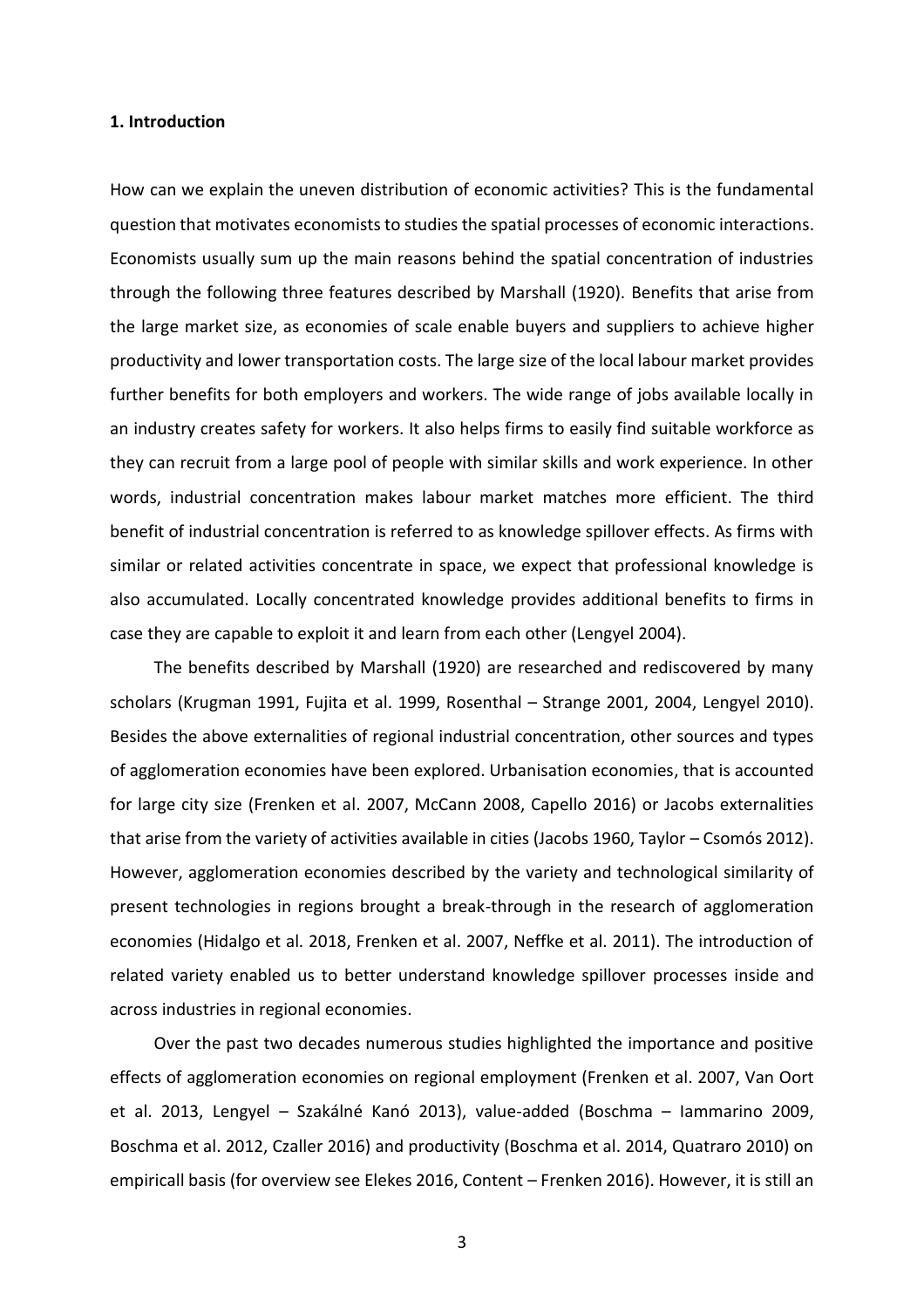#### **1. Introduction**

How can we explain the uneven distribution of economic activities? This is the fundamental question that motivates economists to studies the spatial processes of economic interactions. Economists usually sum up the main reasons behind the spatial concentration of industries through the following three features described by Marshall (1920). Benefits that arise from the large market size, as economies of scale enable buyers and suppliers to achieve higher productivity and lower transportation costs. The large size of the local labour market provides further benefits for both employers and workers. The wide range of jobs available locally in an industry creates safety for workers. It also helps firms to easily find suitable workforce as they can recruit from a large pool of people with similar skills and work experience. In other words, industrial concentration makes labour market matches more efficient. The third benefit of industrial concentration is referred to as knowledge spillover effects. As firms with similar or related activities concentrate in space, we expect that professional knowledge is also accumulated. Locally concentrated knowledge provides additional benefits to firms in case they are capable to exploit it and learn from each other (Lengyel 2004).

The benefits described by Marshall (1920) are researched and rediscovered by many scholars (Krugman 1991, Fujita et al. 1999, Rosenthal – Strange 2001, 2004, Lengyel 2010). Besides the above externalities of regional industrial concentration, other sources and types of agglomeration economies have been explored. Urbanisation economies, that is accounted for large city size (Frenken et al. 2007, McCann 2008, Capello 2016) or Jacobs externalities that arise from the variety of activities available in cities (Jacobs 1960, Taylor – Csomós 2012). However, agglomeration economies described by the variety and technological similarity of present technologies in regions brought a break-through in the research of agglomeration economies (Hidalgo et al. 2018, Frenken et al. 2007, Neffke et al. 2011). The introduction of related variety enabled us to better understand knowledge spillover processes inside and across industries in regional economies.

Over the past two decades numerous studies highlighted the importance and positive effects of agglomeration economies on regional employment (Frenken et al. 2007, Van Oort et al. 2013, Lengyel – Szakálné Kanó 2013), value-added (Boschma – Iammarino 2009, Boschma et al. 2012, Czaller 2016) and productivity (Boschma et al. 2014, Quatraro 2010) on empiricall basis (for overview see Elekes 2016, Content – Frenken 2016). However, it is still an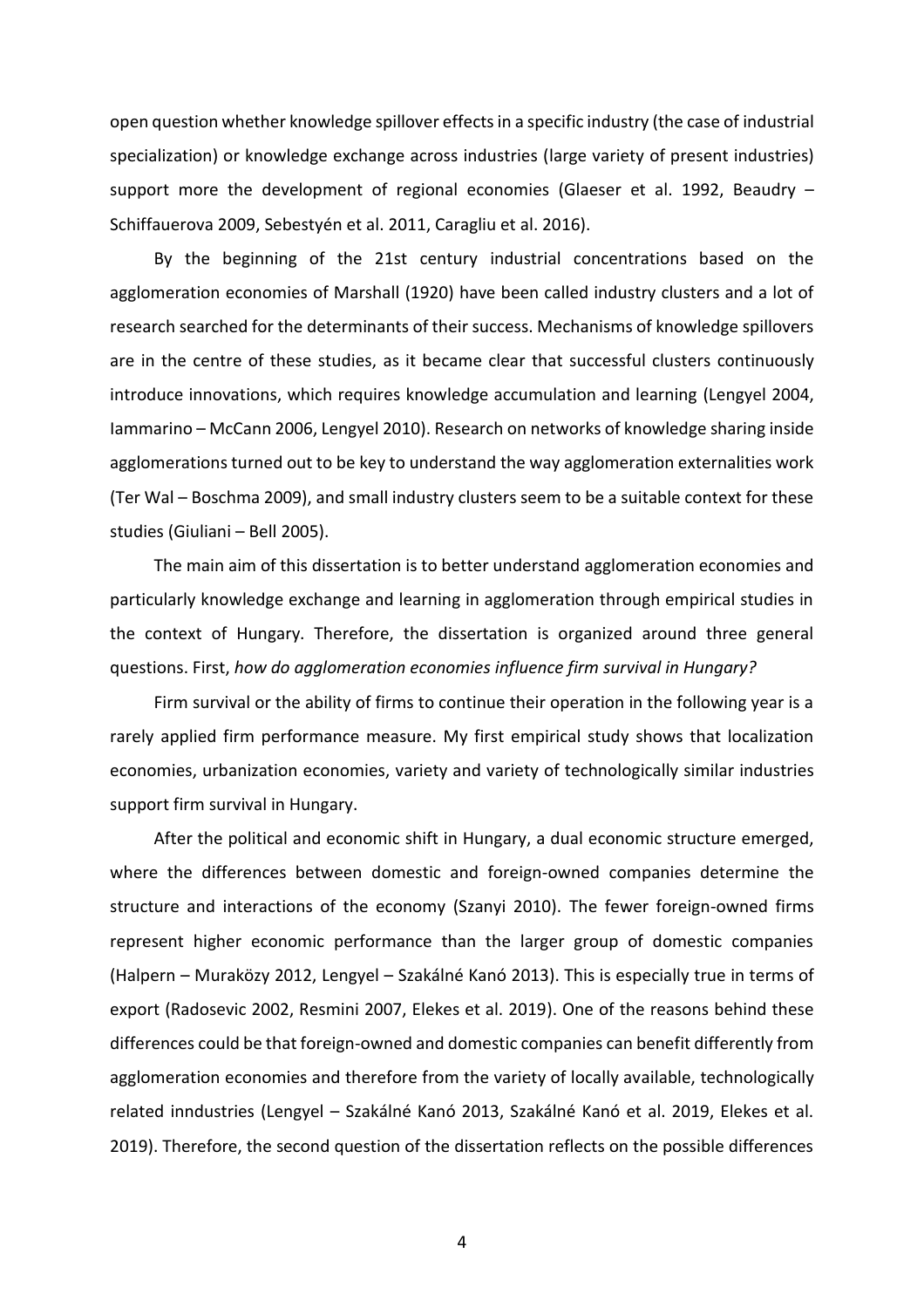open question whether knowledge spillover effects in a specific industry (the case of industrial specialization) or knowledge exchange across industries (large variety of present industries) support more the development of regional economies (Glaeser et al. 1992, Beaudry – Schiffauerova 2009, Sebestyén et al. 2011, Caragliu et al. 2016).

By the beginning of the 21st century industrial concentrations based on the agglomeration economies of Marshall (1920) have been called industry clusters and a lot of research searched for the determinants of their success. Mechanisms of knowledge spillovers are in the centre of these studies, as it became clear that successful clusters continuously introduce innovations, which requires knowledge accumulation and learning (Lengyel 2004, Iammarino – McCann 2006, Lengyel 2010). Research on networks of knowledge sharing inside agglomerations turned out to be key to understand the way agglomeration externalities work (Ter Wal – Boschma 2009), and small industry clusters seem to be a suitable context for these studies (Giuliani – Bell 2005).

The main aim of this dissertation is to better understand agglomeration economies and particularly knowledge exchange and learning in agglomeration through empirical studies in the context of Hungary. Therefore, the dissertation is organized around three general questions. First, *how do agglomeration economies influence firm survival in Hungary?*

Firm survival or the ability of firms to continue their operation in the following year is a rarely applied firm performance measure. My first empirical study shows that localization economies, urbanization economies, variety and variety of technologically similar industries support firm survival in Hungary.

After the political and economic shift in Hungary, a dual economic structure emerged, where the differences between domestic and foreign-owned companies determine the structure and interactions of the economy (Szanyi 2010). The fewer foreign-owned firms represent higher economic performance than the larger group of domestic companies (Halpern – Muraközy 2012, Lengyel – Szakálné Kanó 2013). This is especially true in terms of export (Radosevic 2002, Resmini 2007, Elekes et al. 2019). One of the reasons behind these differences could be that foreign-owned and domestic companies can benefit differently from agglomeration economies and therefore from the variety of locally available, technologically related inndustries (Lengyel – Szakálné Kanó 2013, Szakálné Kanó et al. 2019, Elekes et al. 2019). Therefore, the second question of the dissertation reflects on the possible differences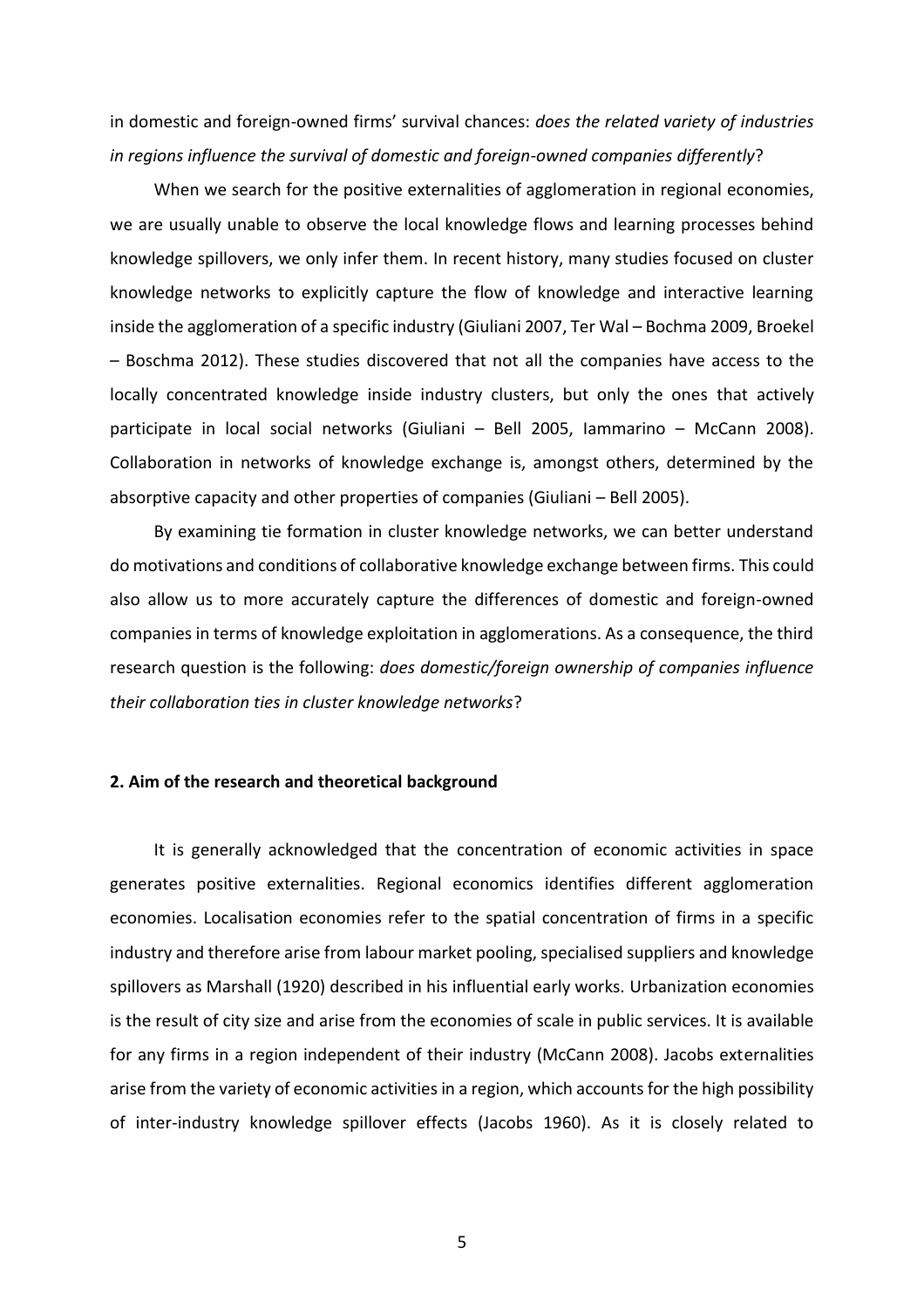in domestic and foreign-owned firms' survival chances: *does the related variety of industries in regions influence the survival of domestic and foreign-owned companies differently*?

When we search for the positive externalities of agglomeration in regional economies, we are usually unable to observe the local knowledge flows and learning processes behind knowledge spillovers, we only infer them. In recent history, many studies focused on cluster knowledge networks to explicitly capture the flow of knowledge and interactive learning inside the agglomeration of a specific industry (Giuliani 2007, Ter Wal – Bochma 2009, Broekel – Boschma 2012). These studies discovered that not all the companies have access to the locally concentrated knowledge inside industry clusters, but only the ones that actively participate in local social networks (Giuliani – Bell 2005, Iammarino – McCann 2008). Collaboration in networks of knowledge exchange is, amongst others, determined by the absorptive capacity and other properties of companies (Giuliani – Bell 2005).

By examining tie formation in cluster knowledge networks, we can better understand do motivations and conditions of collaborative knowledge exchange between firms. This could also allow us to more accurately capture the differences of domestic and foreign-owned companies in terms of knowledge exploitation in agglomerations. As a consequence, the third research question is the following: *does domestic/foreign ownership of companies influence their collaboration ties in cluster knowledge networks*?

### **2. Aim of the research and theoretical background**

It is generally acknowledged that the concentration of economic activities in space generates positive externalities. Regional economics identifies different agglomeration economies. Localisation economies refer to the spatial concentration of firms in a specific industry and therefore arise from labour market pooling, specialised suppliers and knowledge spillovers as Marshall (1920) described in his influential early works. Urbanization economies is the result of city size and arise from the economies of scale in public services. It is available for any firms in a region independent of their industry (McCann 2008). Jacobs externalities arise from the variety of economic activities in a region, which accounts for the high possibility of inter-industry knowledge spillover effects (Jacobs 1960). As it is closely related to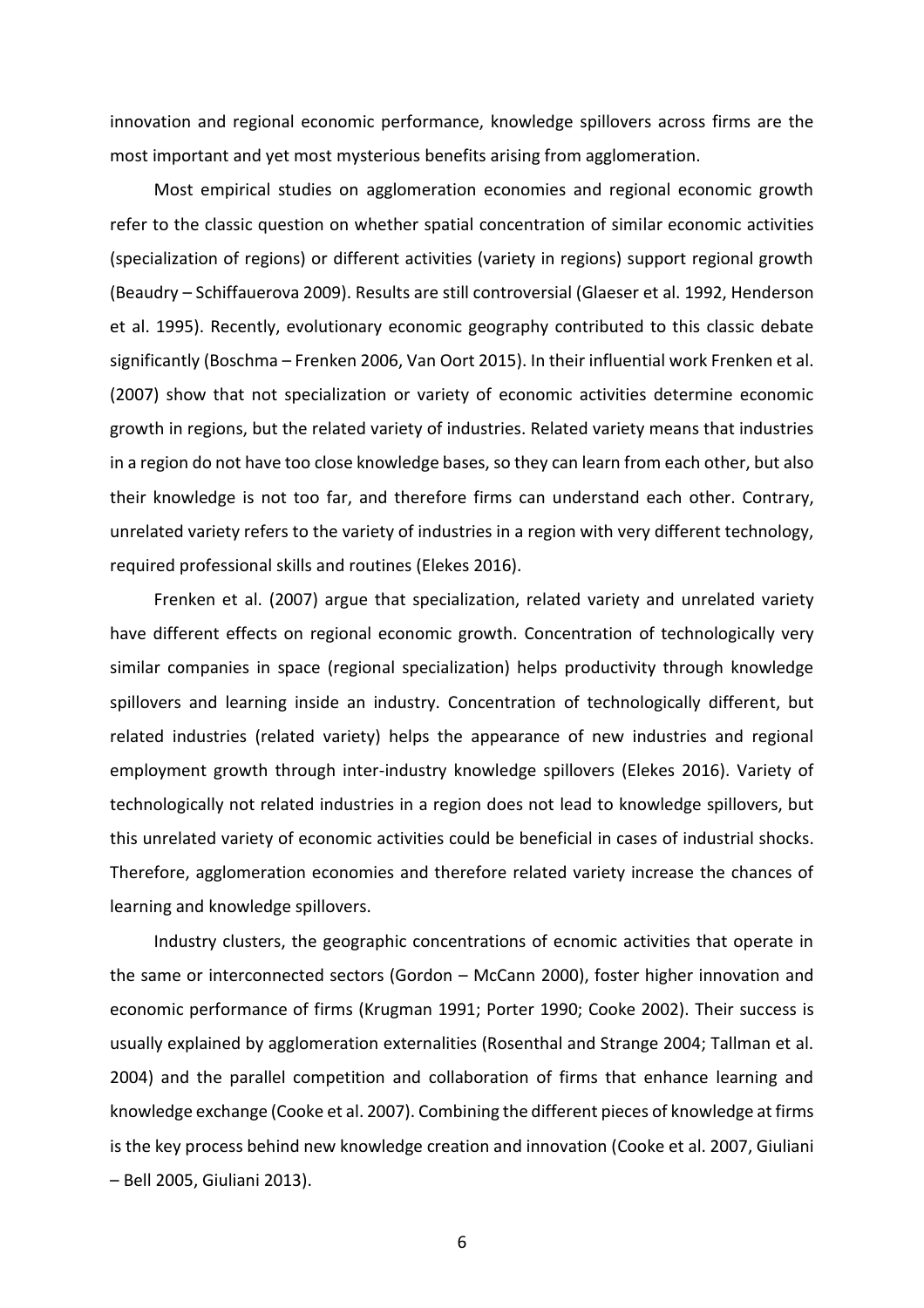innovation and regional economic performance, knowledge spillovers across firms are the most important and yet most mysterious benefits arising from agglomeration.

Most empirical studies on agglomeration economies and regional economic growth refer to the classic question on whether spatial concentration of similar economic activities (specialization of regions) or different activities (variety in regions) support regional growth (Beaudry – Schiffauerova 2009). Results are still controversial (Glaeser et al. 1992, Henderson et al. 1995). Recently, evolutionary economic geography contributed to this classic debate significantly (Boschma – Frenken 2006, Van Oort 2015). In their influential work Frenken et al. (2007) show that not specialization or variety of economic activities determine economic growth in regions, but the related variety of industries. Related variety means that industries in a region do not have too close knowledge bases, so they can learn from each other, but also their knowledge is not too far, and therefore firms can understand each other. Contrary, unrelated variety refers to the variety of industries in a region with very different technology, required professional skills and routines (Elekes 2016).

Frenken et al. (2007) argue that specialization, related variety and unrelated variety have different effects on regional economic growth. Concentration of technologically very similar companies in space (regional specialization) helps productivity through knowledge spillovers and learning inside an industry. Concentration of technologically different, but related industries (related variety) helps the appearance of new industries and regional employment growth through inter-industry knowledge spillovers (Elekes 2016). Variety of technologically not related industries in a region does not lead to knowledge spillovers, but this unrelated variety of economic activities could be beneficial in cases of industrial shocks. Therefore, agglomeration economies and therefore related variety increase the chances of learning and knowledge spillovers.

Industry clusters, the geographic concentrations of ecnomic activities that operate in the same or interconnected sectors (Gordon – McCann 2000), foster higher innovation and economic performance of firms (Krugman 1991; Porter 1990; Cooke 2002). Their success is usually explained by agglomeration externalities (Rosenthal and Strange 2004; Tallman et al. 2004) and the parallel competition and collaboration of firms that enhance learning and knowledge exchange (Cooke et al. 2007). Combining the different pieces of knowledge at firms is the key process behind new knowledge creation and innovation (Cooke et al. 2007, Giuliani – Bell 2005, Giuliani 2013).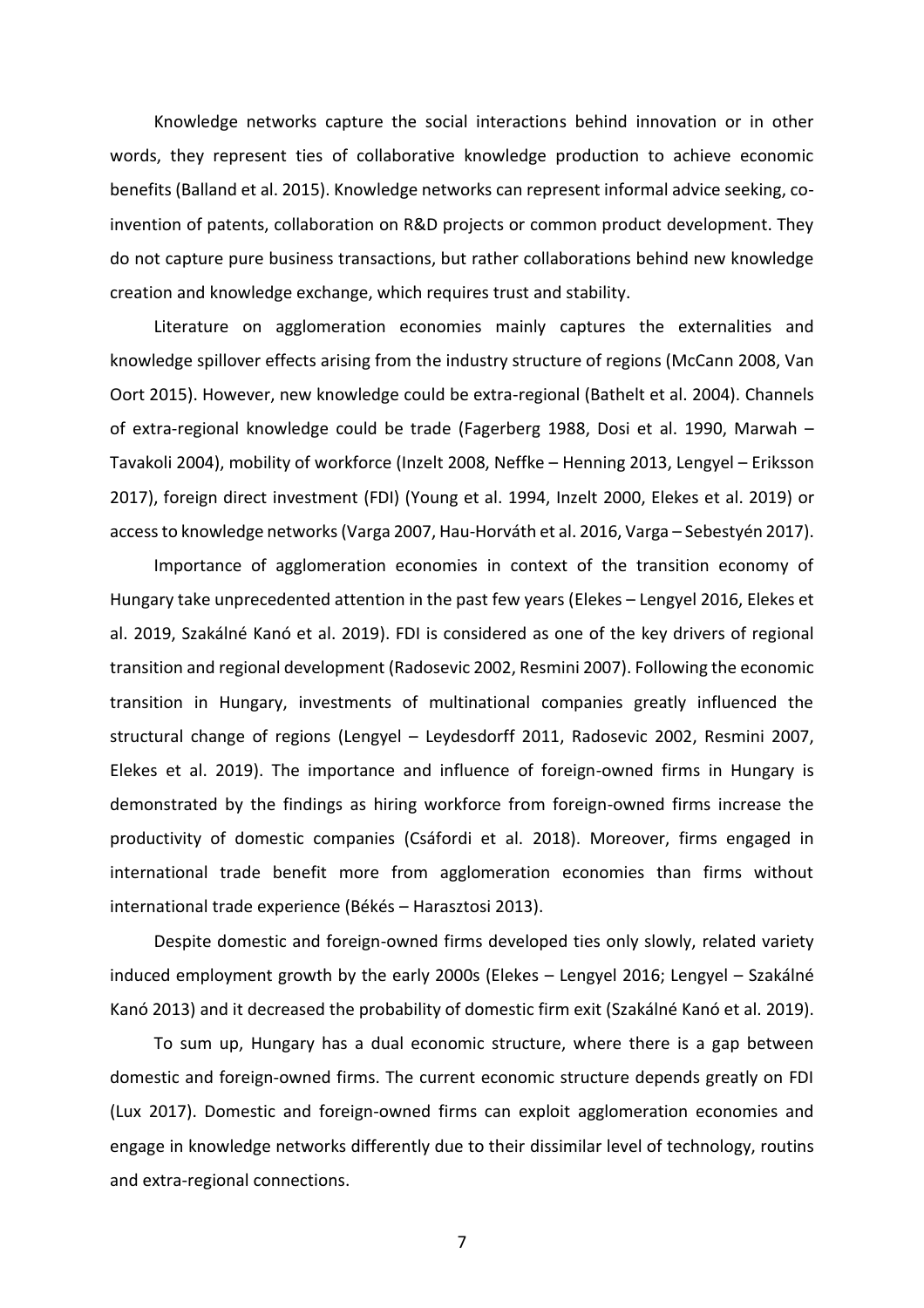Knowledge networks capture the social interactions behind innovation or in other words, they represent ties of collaborative knowledge production to achieve economic benefits (Balland et al. 2015). Knowledge networks can represent informal advice seeking, coinvention of patents, collaboration on R&D projects or common product development. They do not capture pure business transactions, but rather collaborations behind new knowledge creation and knowledge exchange, which requires trust and stability.

Literature on agglomeration economies mainly captures the externalities and knowledge spillover effects arising from the industry structure of regions (McCann 2008, Van Oort 2015). However, new knowledge could be extra-regional (Bathelt et al. 2004). Channels of extra-regional knowledge could be trade (Fagerberg 1988, Dosi et al. 1990, Marwah – Tavakoli 2004), mobility of workforce (Inzelt 2008, Neffke – Henning 2013, Lengyel – Eriksson 2017), foreign direct investment (FDI) (Young et al. 1994, Inzelt 2000, Elekes et al. 2019) or access to knowledge networks (Varga 2007, Hau-Horváth et al. 2016, Varga – Sebestyén 2017).

Importance of agglomeration economies in context of the transition economy of Hungary take unprecedented attention in the past few years (Elekes – Lengyel 2016, Elekes et al. 2019, Szakálné Kanó et al. 2019). FDI is considered as one of the key drivers of regional transition and regional development (Radosevic 2002, Resmini 2007). Following the economic transition in Hungary, investments of multinational companies greatly influenced the structural change of regions (Lengyel – Leydesdorff 2011, Radosevic 2002, Resmini 2007, Elekes et al. 2019). The importance and influence of foreign-owned firms in Hungary is demonstrated by the findings as hiring workforce from foreign-owned firms increase the productivity of domestic companies (Csáfordi et al. 2018). Moreover, firms engaged in international trade benefit more from agglomeration economies than firms without international trade experience (Békés – Harasztosi 2013).

Despite domestic and foreign-owned firms developed ties only slowly, related variety induced employment growth by the early 2000s (Elekes – Lengyel 2016; Lengyel – Szakálné Kanó 2013) and it decreased the probability of domestic firm exit (Szakálné Kanó et al. 2019).

To sum up, Hungary has a dual economic structure, where there is a gap between domestic and foreign-owned firms. The current economic structure depends greatly on FDI (Lux 2017). Domestic and foreign-owned firms can exploit agglomeration economies and engage in knowledge networks differently due to their dissimilar level of technology, routins and extra-regional connections.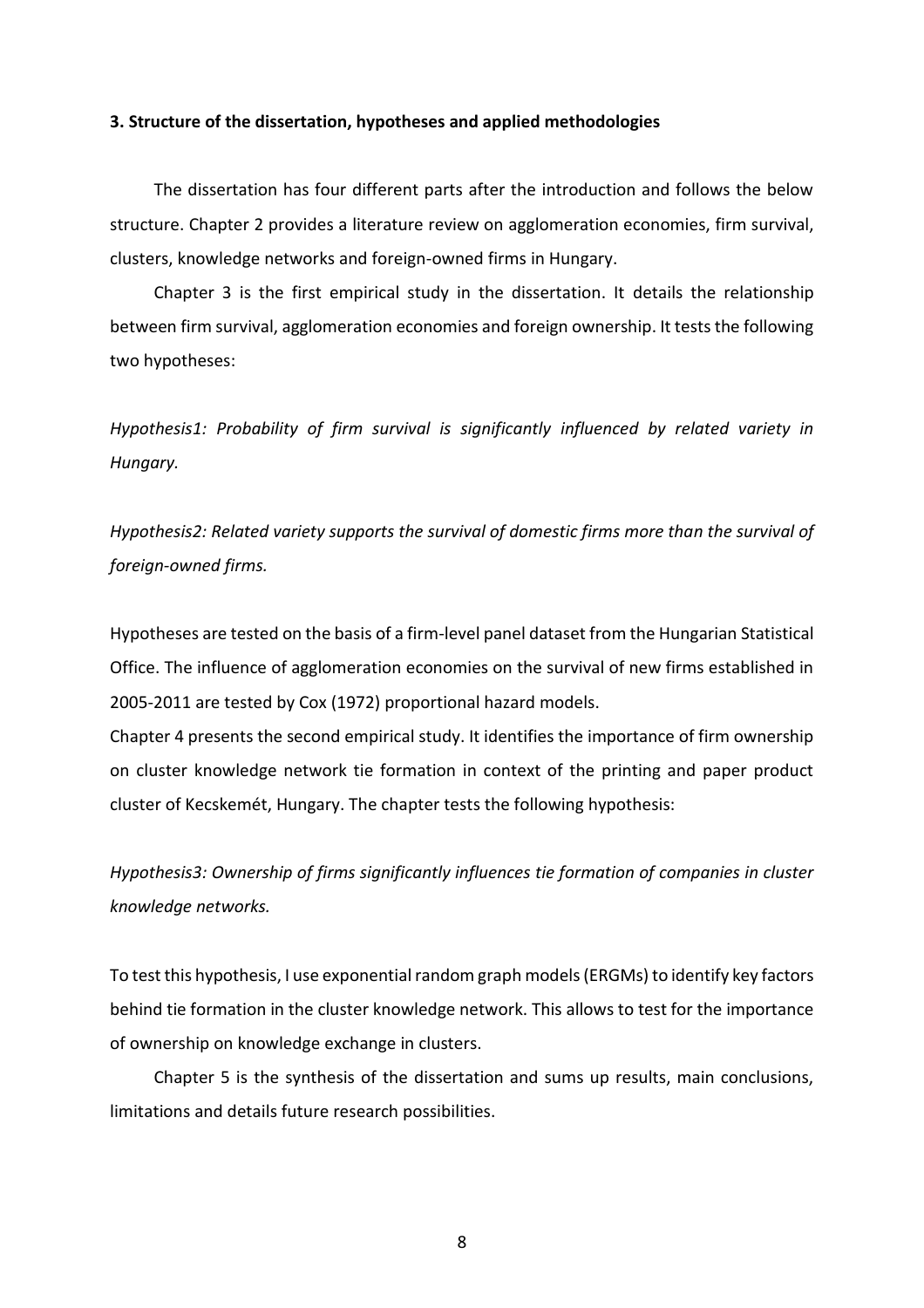#### **3. Structure of the dissertation, hypotheses and applied methodologies**

The dissertation has four different parts after the introduction and follows the below structure. Chapter 2 provides a literature review on agglomeration economies, firm survival, clusters, knowledge networks and foreign-owned firms in Hungary.

Chapter 3 is the first empirical study in the dissertation. It details the relationship between firm survival, agglomeration economies and foreign ownership. It tests the following two hypotheses:

*Hypothesis1: Probability of firm survival is significantly influenced by related variety in Hungary.* 

*Hypothesis2: Related variety supports the survival of domestic firms more than the survival of foreign-owned firms.*

Hypotheses are tested on the basis of a firm-level panel dataset from the Hungarian Statistical Office. The influence of agglomeration economies on the survival of new firms established in 2005-2011 are tested by Cox (1972) proportional hazard models.

Chapter 4 presents the second empirical study. It identifies the importance of firm ownership on cluster knowledge network tie formation in context of the printing and paper product cluster of Kecskemét, Hungary. The chapter tests the following hypothesis:

*Hypothesis3: Ownership of firms significantly influences tie formation of companies in cluster knowledge networks.* 

To test this hypothesis, I use exponential random graph models (ERGMs) to identify key factors behind tie formation in the cluster knowledge network. This allows to test for the importance of ownership on knowledge exchange in clusters.

Chapter 5 is the synthesis of the dissertation and sums up results, main conclusions, limitations and details future research possibilities.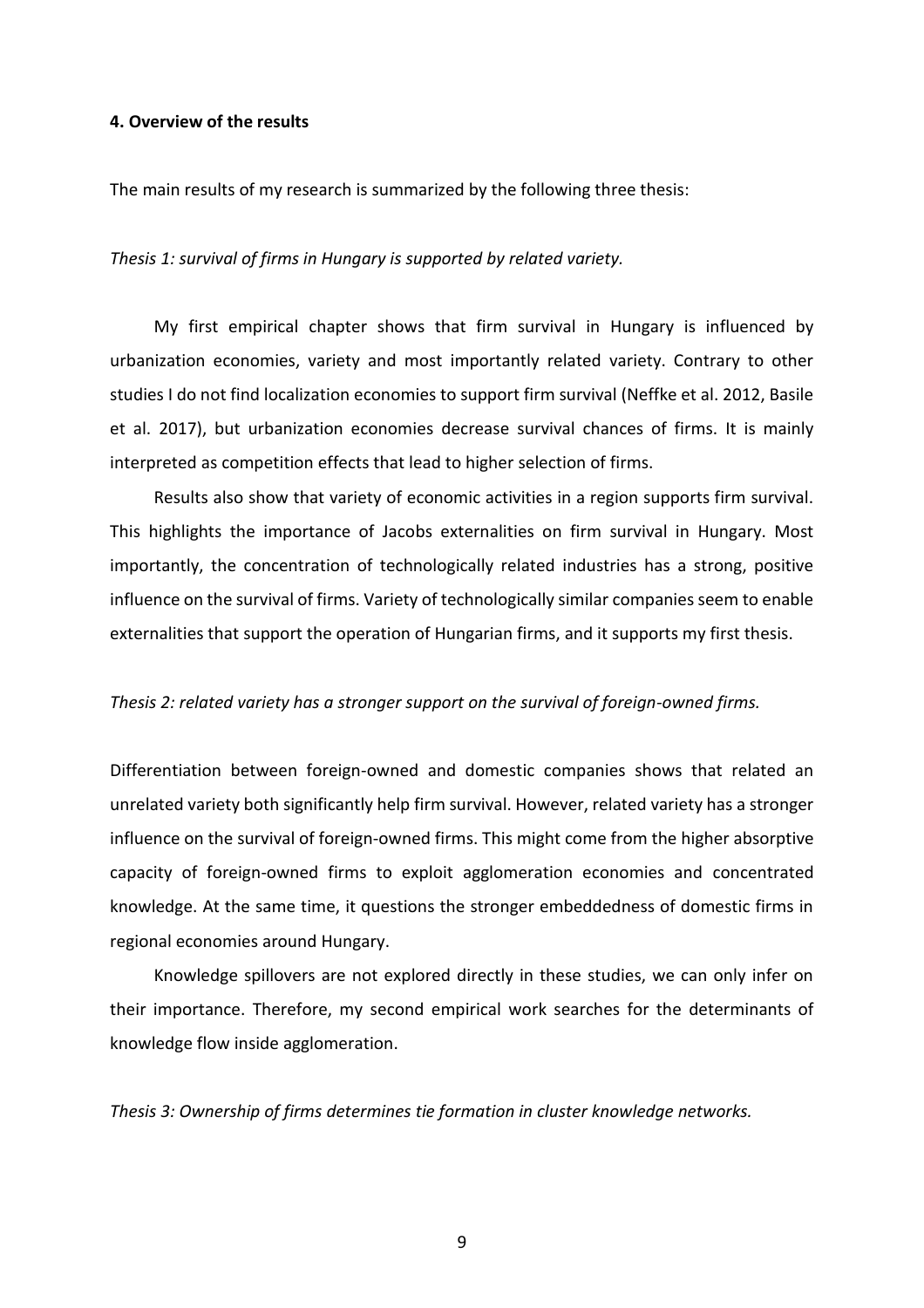## **4. Overview of the results**

The main results of my research is summarized by the following three thesis:

*Thesis 1: survival of firms in Hungary is supported by related variety.*

My first empirical chapter shows that firm survival in Hungary is influenced by urbanization economies, variety and most importantly related variety. Contrary to other studies I do not find localization economies to support firm survival (Neffke et al. 2012, Basile et al. 2017), but urbanization economies decrease survival chances of firms. It is mainly interpreted as competition effects that lead to higher selection of firms.

Results also show that variety of economic activities in a region supports firm survival. This highlights the importance of Jacobs externalities on firm survival in Hungary. Most importantly, the concentration of technologically related industries has a strong, positive influence on the survival of firms. Variety of technologically similar companies seem to enable externalities that support the operation of Hungarian firms, and it supports my first thesis.

#### *Thesis 2: related variety has a stronger support on the survival of foreign-owned firms.*

Differentiation between foreign-owned and domestic companies shows that related an unrelated variety both significantly help firm survival. However, related variety has a stronger influence on the survival of foreign-owned firms. This might come from the higher absorptive capacity of foreign-owned firms to exploit agglomeration economies and concentrated knowledge. At the same time, it questions the stronger embeddedness of domestic firms in regional economies around Hungary.

Knowledge spillovers are not explored directly in these studies, we can only infer on their importance. Therefore, my second empirical work searches for the determinants of knowledge flow inside agglomeration.

*Thesis 3: Ownership of firms determines tie formation in cluster knowledge networks.*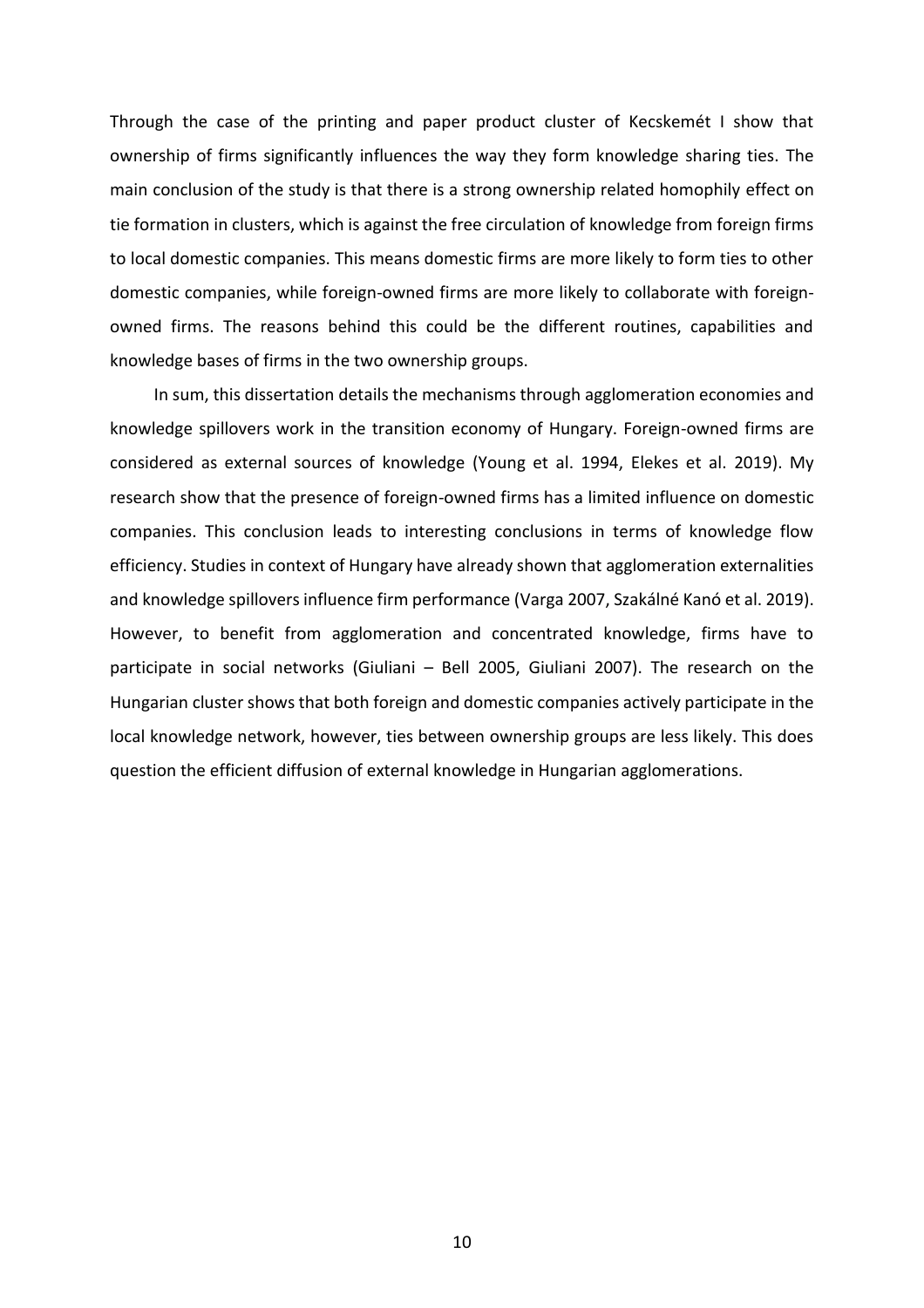Through the case of the printing and paper product cluster of Kecskemét I show that ownership of firms significantly influences the way they form knowledge sharing ties. The main conclusion of the study is that there is a strong ownership related homophily effect on tie formation in clusters, which is against the free circulation of knowledge from foreign firms to local domestic companies. This means domestic firms are more likely to form ties to other domestic companies, while foreign-owned firms are more likely to collaborate with foreignowned firms. The reasons behind this could be the different routines, capabilities and knowledge bases of firms in the two ownership groups.

In sum, this dissertation details the mechanisms through agglomeration economies and knowledge spillovers work in the transition economy of Hungary. Foreign-owned firms are considered as external sources of knowledge (Young et al. 1994, Elekes et al. 2019). My research show that the presence of foreign-owned firms has a limited influence on domestic companies. This conclusion leads to interesting conclusions in terms of knowledge flow efficiency. Studies in context of Hungary have already shown that agglomeration externalities and knowledge spillovers influence firm performance (Varga 2007, Szakálné Kanó et al. 2019). However, to benefit from agglomeration and concentrated knowledge, firms have to participate in social networks (Giuliani – Bell 2005, Giuliani 2007). The research on the Hungarian cluster shows that both foreign and domestic companies actively participate in the local knowledge network, however, ties between ownership groups are less likely. This does question the efficient diffusion of external knowledge in Hungarian agglomerations.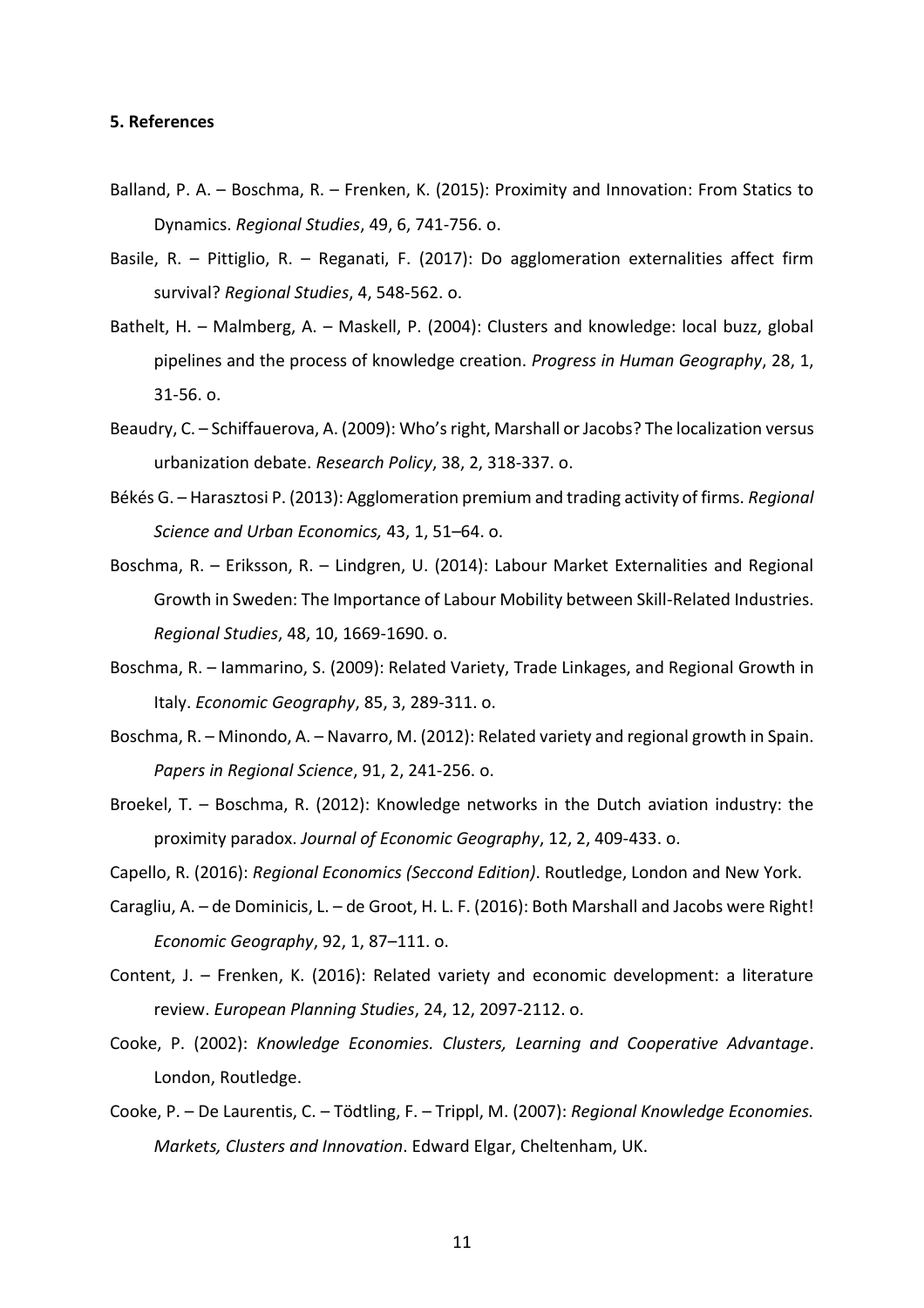#### **5. References**

- Balland, P. A. Boschma, R. Frenken, K. (2015): Proximity and Innovation: From Statics to Dynamics. *Regional Studies*, 49, 6, 741-756. o.
- Basile, R. Pittiglio, R. Reganati, F. (2017): Do agglomeration externalities affect firm survival? *Regional Studies*, 4, 548-562. o.
- Bathelt, H. Malmberg, A. Maskell, P. (2004): Clusters and knowledge: local buzz, global pipelines and the process of knowledge creation. *Progress in Human Geography*, 28, 1, 31-56. o.
- Beaudry, C. Schiffauerova, A. (2009): Who's right, Marshall or Jacobs? The localization versus urbanization debate. *Research Policy*, 38, 2, 318-337. o.
- Békés G. Harasztosi P. (2013): Agglomeration premium and trading activity of firms. *Regional Science and Urban Economics,* 43, 1, 51–64. o.
- Boschma, R. Eriksson, R. Lindgren, U. (2014): Labour Market Externalities and Regional Growth in Sweden: The Importance of Labour Mobility between Skill-Related Industries. *Regional Studies*, 48, 10, 1669-1690. o.
- Boschma, R. Iammarino, S. (2009): Related Variety, Trade Linkages, and Regional Growth in Italy. *Economic Geography*, 85, 3, 289-311. o.
- Boschma, R. Minondo, A. Navarro, M. (2012): Related variety and regional growth in Spain. *Papers in Regional Science*, 91, 2, 241-256. o.
- Broekel, T. Boschma, R. (2012): Knowledge networks in the Dutch aviation industry: the proximity paradox. *Journal of Economic Geography*, 12, 2, 409-433. o.

Capello, R. (2016): *Regional Economics (Seccond Edition)*. Routledge, London and New York.

- Caragliu, A. de Dominicis, L. de Groot, H. L. F. (2016): Both Marshall and Jacobs were Right! *Economic Geography*, 92, 1, 87–111. o.
- Content, J. Frenken, K. (2016): Related variety and economic development: a literature review. *European Planning Studies*, 24, 12, 2097-2112. o.
- Cooke, P. (2002): *Knowledge Economies. Clusters, Learning and Cooperative Advantage*. London, Routledge.
- Cooke, P. De Laurentis, C. Tödtling, F. Trippl, M. (2007): *Regional Knowledge Economies. Markets, Clusters and Innovation*. Edward Elgar, Cheltenham, UK.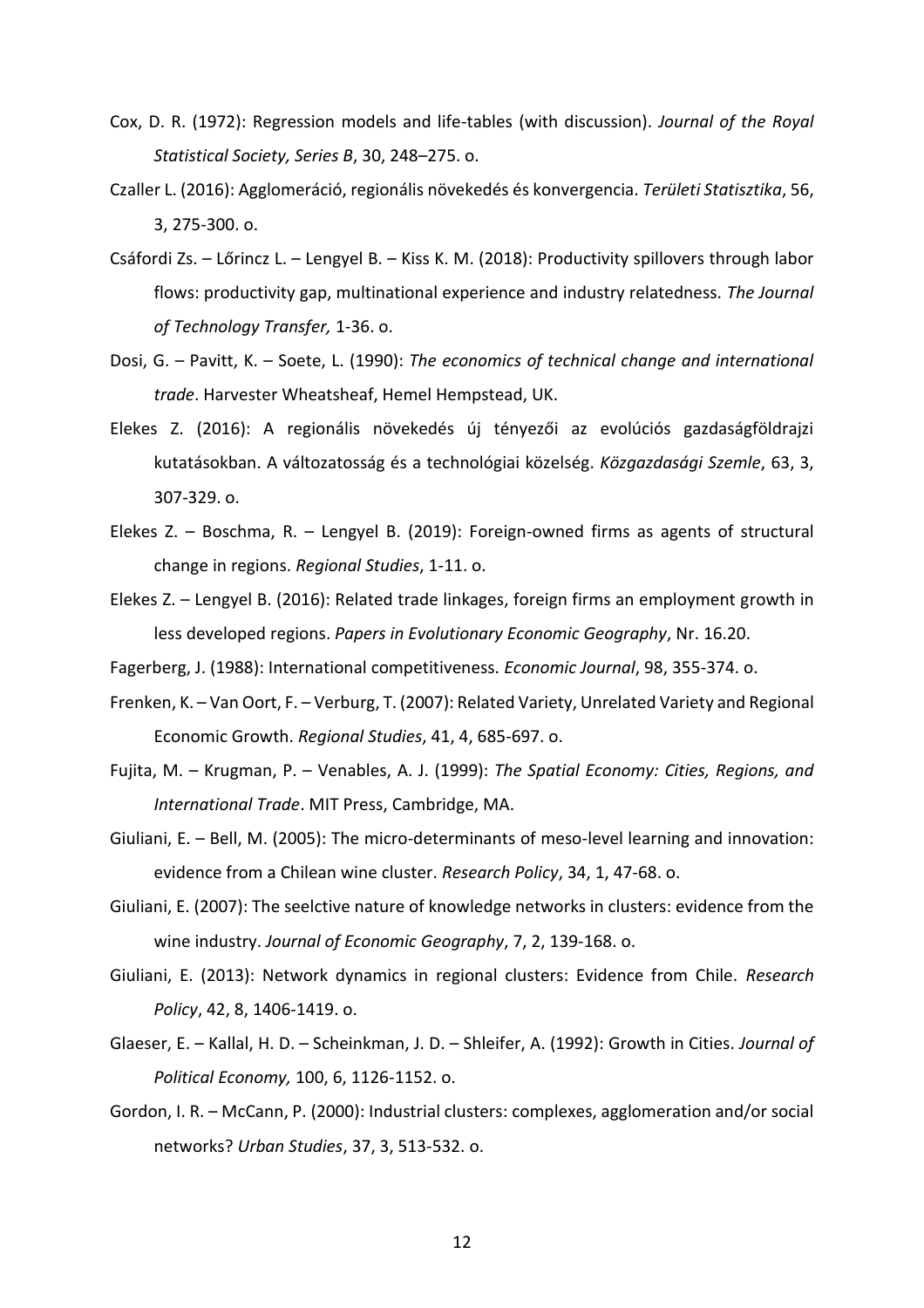- Cox, D. R. (1972): Regression models and life-tables (with discussion). *Journal of the Royal Statistical Society, Series B*, 30, 248–275. o.
- Czaller L. (2016): Agglomeráció, regionális növekedés és konvergencia. *Területi Statisztika*, 56, 3, 275-300. o.
- Csáfordi Zs. Lőrincz L. Lengyel B. Kiss K. M. (2018): Productivity spillovers through labor flows: productivity gap, multinational experience and industry relatedness. *The Journal of Technology Transfer,* 1-36. o.
- Dosi, G. Pavitt, K. Soete, L. (1990): *The economics of technical change and international trade*. Harvester Wheatsheaf, Hemel Hempstead, UK.
- Elekes Z. (2016): A regionális növekedés új tényezői az evolúciós gazdaságföldrajzi kutatásokban. A változatosság és a technológiai közelség. *Közgazdasági Szemle*, 63, 3, 307-329. o.
- Elekes Z. Boschma, R. Lengyel B. (2019): Foreign-owned firms as agents of structural change in regions. *Regional Studies*, 1-11. o.
- Elekes Z. Lengyel B. (2016): Related trade linkages, foreign firms an employment growth in less developed regions. *Papers in Evolutionary Economic Geography*, Nr. 16.20.
- Fagerberg, J. (1988): International competitiveness. *Economic Journal*, 98, 355-374. o.
- Frenken, K. Van Oort, F. Verburg, T. (2007): Related Variety, Unrelated Variety and Regional Economic Growth. *Regional Studies*, 41, 4, 685-697. o.
- Fujita, M. Krugman, P. Venables, A. J. (1999): *The Spatial Economy: Cities, Regions, and International Trade*. MIT Press, Cambridge, MA.
- Giuliani, E. Bell, M. (2005): The micro-determinants of meso-level learning and innovation: evidence from a Chilean wine cluster. *Research Policy*, 34, 1, 47-68. o.
- Giuliani, E. (2007): The seelctive nature of knowledge networks in clusters: evidence from the wine industry. *Journal of Economic Geography*, 7, 2, 139-168. o.
- Giuliani, E. (2013): Network dynamics in regional clusters: Evidence from Chile. *Research Policy*, 42, 8, 1406-1419. o.
- Glaeser, E. Kallal, H. D. Scheinkman, J. D. Shleifer, A. (1992): Growth in Cities. *Journal of Political Economy,* 100, 6, 1126-1152. o.
- Gordon, I. R. McCann, P. (2000): Industrial clusters: complexes, agglomeration and/or social networks? *Urban Studies*, 37, 3, 513-532. o.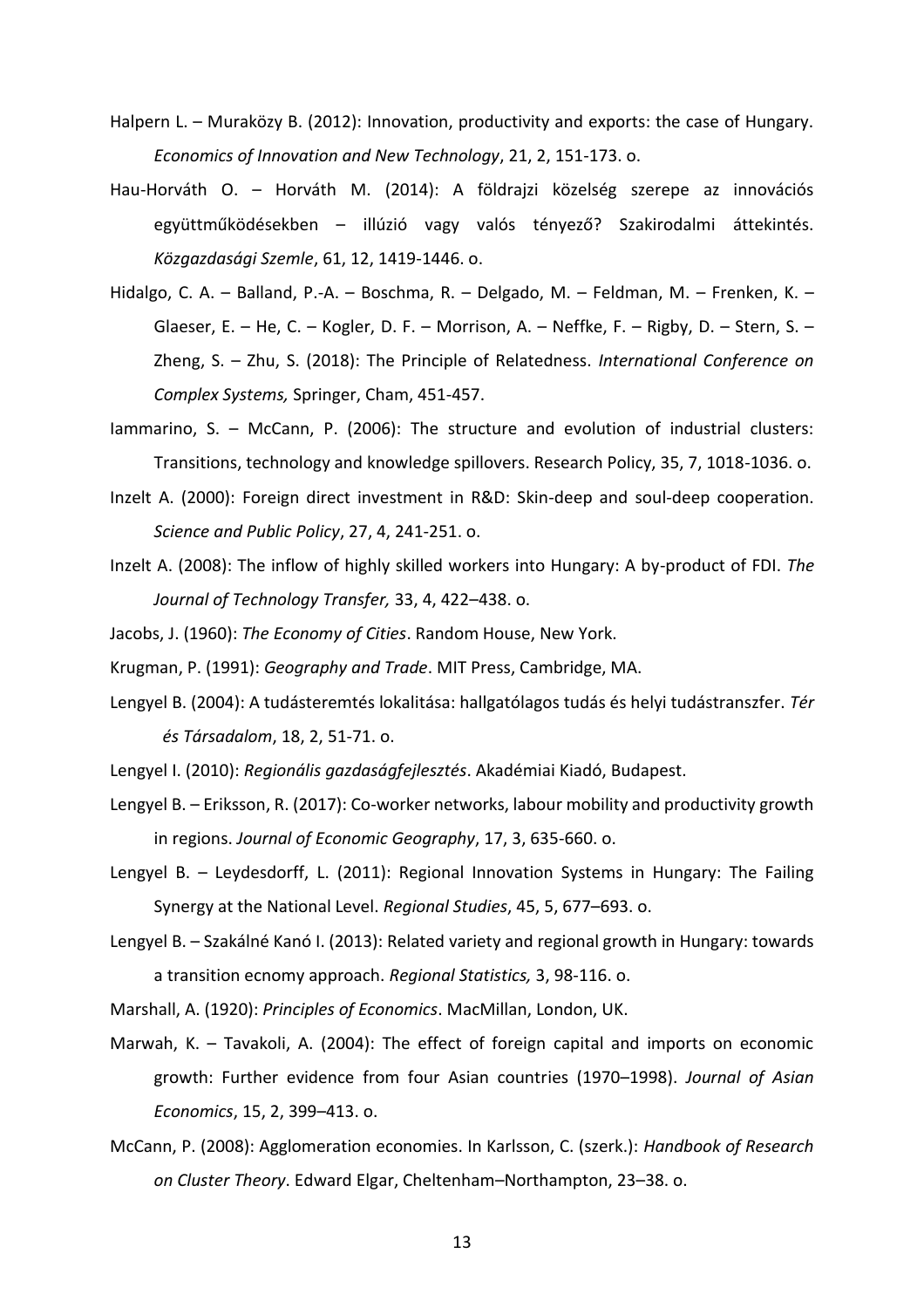- Halpern L. Muraközy B. (2012): Innovation, productivity and exports: the case of Hungary. *Economics of Innovation and New Technology*, 21, 2, 151-173. o.
- Hau-Horváth O. Horváth M. (2014): A földrajzi közelség szerepe az innovációs együttműködésekben – illúzió vagy valós tényező? Szakirodalmi áttekintés. *Közgazdasági Szemle*, 61, 12, 1419-1446. o.
- Hidalgo, C. A. Balland, P.-A. Boschma, R. Delgado, M. Feldman, M. Frenken, K. Glaeser, E. – He, C. – Kogler, D. F. – Morrison, A. – Neffke, F. – Rigby, D. – Stern, S. – Zheng, S. – Zhu, S. (2018): The Principle of Relatedness. *International Conference on Complex Systems,* Springer, Cham, 451-457.
- Iammarino, S. McCann, P. (2006): The structure and evolution of industrial clusters: Transitions, technology and knowledge spillovers. Research Policy, 35, 7, 1018-1036. o.
- Inzelt A. (2000): Foreign direct investment in R&D: Skin-deep and soul-deep cooperation. *Science and Public Policy*, 27, 4, 241-251. o.
- Inzelt A. (2008): The inflow of highly skilled workers into Hungary: A by-product of FDI. *The Journal of Technology Transfer,* 33, 4, 422–438. o.
- Jacobs, J. (1960): *The Economy of Cities*. Random House, New York.
- Krugman, P. (1991): *Geography and Trade*. MIT Press, Cambridge, MA.
- Lengyel B. (2004): A tudásteremtés lokalitása: hallgatólagos tudás és helyi tudástranszfer. *Tér és Társadalom*, 18, 2, 51-71. o.
- Lengyel I. (2010): *Regionális gazdaságfejlesztés*. Akadémiai Kiadó, Budapest.
- Lengyel B. Eriksson, R. (2017): Co-worker networks, labour mobility and productivity growth in regions. *Journal of Economic Geography*, 17, 3, 635-660. o.
- Lengyel B. Leydesdorff, L. (2011): Regional Innovation Systems in Hungary: The Failing Synergy at the National Level. *Regional Studies*, 45, 5, 677–693. o.
- Lengyel B. Szakálné Kanó I. (2013): Related variety and regional growth in Hungary: towards a transition ecnomy approach. *Regional Statistics,* 3, 98-116. o.
- Marshall, A. (1920): *Principles of Economics*. MacMillan, London, UK.
- Marwah, K. Tavakoli, A. (2004): The effect of foreign capital and imports on economic growth: Further evidence from four Asian countries (1970–1998). *Journal of Asian Economics*, 15, 2, 399–413. o.
- McCann, P. (2008): Agglomeration economies. In Karlsson, C. (szerk.): *Handbook of Research on Cluster Theory*. Edward Elgar, Cheltenham–Northampton, 23–38. o.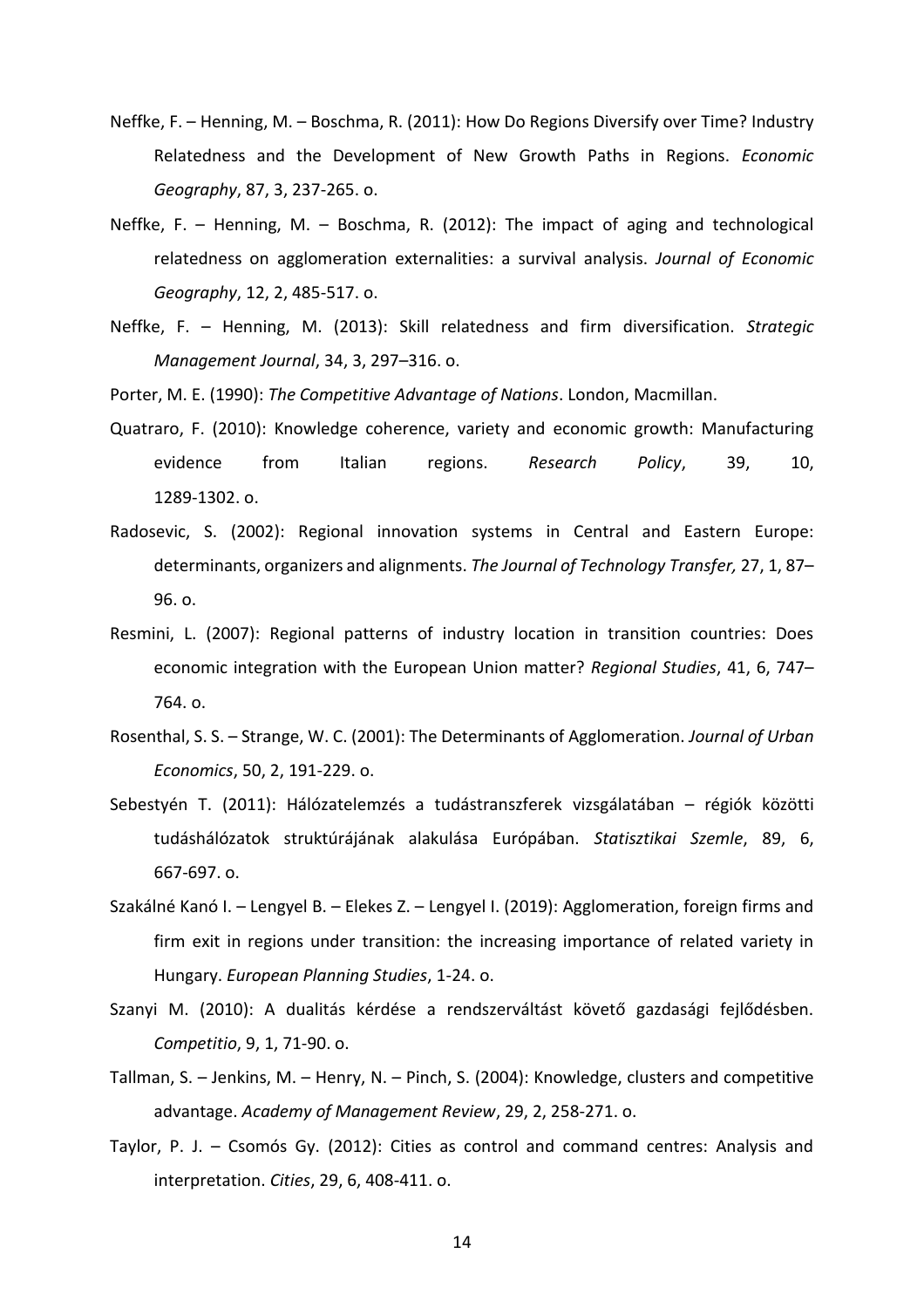- Neffke, F. Henning, M. Boschma, R. (2011): How Do Regions Diversify over Time? Industry Relatedness and the Development of New Growth Paths in Regions. *Economic Geography*, 87, 3, 237-265. o.
- Neffke, F. Henning, M. Boschma, R. (2012): The impact of aging and technological relatedness on agglomeration externalities: a survival analysis. *Journal of Economic Geography*, 12, 2, 485-517. o.
- Neffke, F. Henning, M. (2013): Skill relatedness and firm diversification. *Strategic Management Journal*, 34, 3, 297–316. o.
- Porter, M. E. (1990): *The Competitive Advantage of Nations*. London, Macmillan.
- Quatraro, F. (2010): Knowledge coherence, variety and economic growth: Manufacturing evidence from Italian regions. *Research Policy*, 39, 10, 1289-1302. o.
- Radosevic, S. (2002): Regional innovation systems in Central and Eastern Europe: determinants, organizers and alignments. *The Journal of Technology Transfer,* 27, 1, 87– 96. o.
- Resmini, L. (2007): Regional patterns of industry location in transition countries: Does economic integration with the European Union matter? *Regional Studies*, 41, 6, 747– 764. o.
- Rosenthal, S. S. Strange, W. C. (2001): The Determinants of Agglomeration. *Journal of Urban Economics*, 50, 2, 191-229. o.
- Sebestyén T. (2011): Hálózatelemzés a tudástranszferek vizsgálatában régiók közötti tudáshálózatok struktúrájának alakulása Európában. *Statisztikai Szemle*, 89, 6, 667-697. o.
- Szakálné Kanó I. Lengyel B. Elekes Z. Lengyel I. (2019): Agglomeration, foreign firms and firm exit in regions under transition: the increasing importance of related variety in Hungary. *European Planning Studies*, 1-24. o.
- Szanyi M. (2010): A dualitás kérdése a rendszerváltást követő gazdasági fejlődésben. *Competitio*, 9, 1, 71-90. o.
- Tallman, S. Jenkins, M. Henry, N. Pinch, S. (2004): Knowledge, clusters and competitive advantage. *Academy of Management Review*, 29, 2, 258-271. o.
- Taylor, P. J. Csomós Gy. (2012): Cities as control and command centres: Analysis and interpretation. *Cities*, 29, 6, 408-411. o.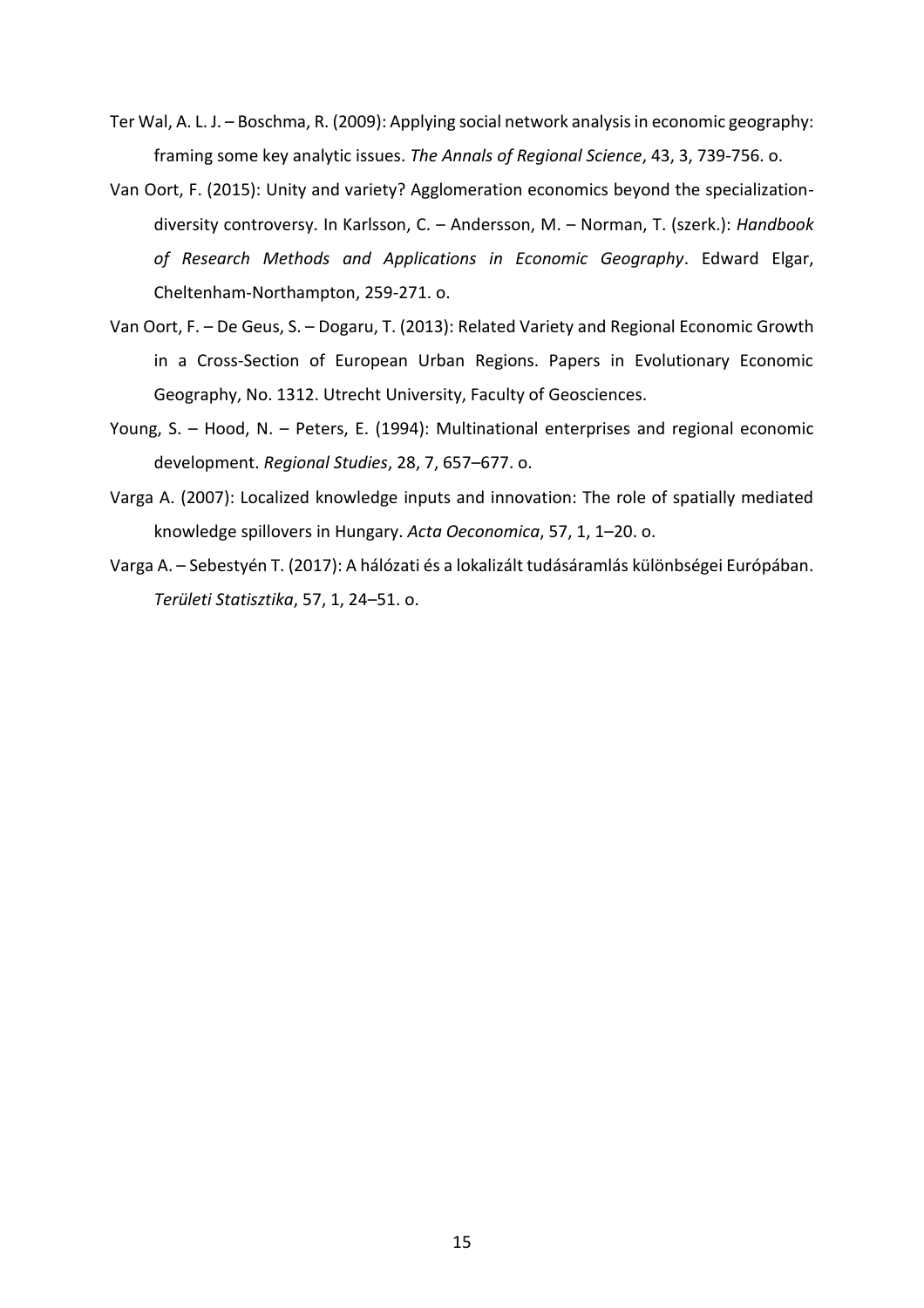- Ter Wal, A. L. J. Boschma, R. (2009): Applying social network analysis in economic geography: framing some key analytic issues. *The Annals of Regional Science*, 43, 3, 739-756. o.
- Van Oort, F. (2015): Unity and variety? Agglomeration economics beyond the specializationdiversity controversy. In Karlsson, C. – Andersson, M. – Norman, T. (szerk.): *Handbook of Research Methods and Applications in Economic Geography*. Edward Elgar, Cheltenham-Northampton, 259-271. o.
- Van Oort, F. De Geus, S. Dogaru, T. (2013): Related Variety and Regional Economic Growth in a Cross-Section of European Urban Regions. Papers in Evolutionary Economic Geography, No. 1312. Utrecht University, Faculty of Geosciences.
- Young, S. Hood, N. Peters, E. (1994): Multinational enterprises and regional economic development. *Regional Studies*, 28, 7, 657–677. o.
- Varga A. (2007): Localized knowledge inputs and innovation: The role of spatially mediated knowledge spillovers in Hungary. *Acta Oeconomica*, 57, 1, 1–20. o.
- Varga A. Sebestyén T. (2017): A hálózati és a lokalizált tudásáramlás különbségei Európában. *Területi Statisztika*, 57, 1, 24–51. o.